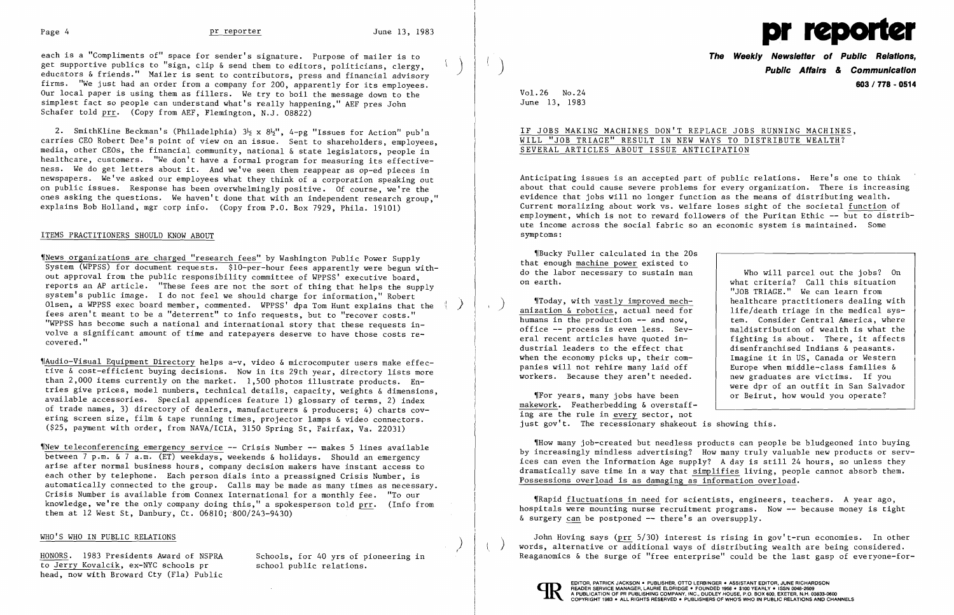each is a "Compliments of" space for sender's signature. Purpose of mailer is to<br>get supportive publics to "sign, clip & send them to editors, politicians, clergy. educators & friends." Mailer is sent to contributors, press and financial advisory firms. "We just had an order from a company for 200, apparently for its employees. Our local paper is using them as fillers. We try to boil the message down to the simplest fact so people can understand what's really happening," AEF pres John Schafer told prr. (Copy from AEF, Flemington, N.J. 08822)



2. SmithKline Beckman's (Philadelphia)  $3\frac{1}{2}$  x  $8\frac{1}{2}$ ", 4-pg "Issues for Action" pub'n carries CEO Robert Dee's point of view on an issue. Sent to shareholders, employees, media, other CEOs, the financial community, national & state legislators, people in healthcare, customers. "We don't have a formal program for measuring its effectiveness. We do get letters about it. And we've seen them reappear as op-ed pieces in newspapers. We've asked our employees what they think of a corporation speaking out on public issues. Response has been overwhelmingly positive. Of course, we're the ones asking the questions. We haven't done that with an independent research group," explains Bob Holland, mgr corp info. (Copy from P.O. Box 7929, Phila. 19101)

## ITEMS PRACTITIONERS SHOULD KNOW ABOUT

'INew teleconferencing emergency service -- Crisis Number -- makes 5 lines available between 7 p.m. & 7 a.m. (ET) weekdays, weekends & holidays. Should an emergency arise after normal business hours, company decision makers have instant access to each other by telephone. Each person dials into a preassigned Crisis Number, is automatically connected to the group. Calls may be made as many times as necessary. Crisis Number is available from Connex International for a monthly fee. "To our knowledge, we're the only company doing this," a spokesperson told prr. (Info from them at 12 West St, Danbury, Ct.  $06810; 800/243-9430$ 

Wews organizations are charged "research fees" by Washington Public Power Supply System (WPPSS) for document requests. \$10-per-hour fees apparently were begun without approval from the public responsibility committee of WPPSS' executive board, reports an AP article. "These fees are not the sort of thing that helps the supply system's public image. I do not feel we should charge for information," Robert Olsen, a WPPSS exec board member, commented. WPPSS' dpa Tom Hunt explains that the fees aren't meant to be a "deterrent" to info requests, but to "recover costs." "WPPSS has become such a national and international story that these requests in volve a significant amount of time and ratepayers deserve to have those costs re covered." ,/ 1, )

foday, with <u>vastly improved mech-</u><br>anization & robotics, actual need for humans in the production -- and now. office -- process is even less. Several recent articles have quoted industrial leaders to the effect that when the economy picks up, their companies will not rehire many laid off workers. Because they aren't needed.

'IAudio-Visual Equipment Directory helps a-v, video &microcomputer users make effective & cost-efficient buying decisions. Now in its 29th year, directory lists more than 2,000 items currently on the market. 1,500 photos illustrate products. Entries give prices, model numbers, technical details, capacity, weights & dimensions, available accessories. Special appendices feature 1) glossary of terms, 2) index of trade names, 3) directory of dealers, manufacturers & producers; 4) charts covering screen size, film & tape running times, projector lamps & video connectors. (\$25, payment with order, from NAVA/ICIA, 3150 Spring St, Fairfax, Va. 22031)

> .Rapid fluctuations in need for scientists, engineers, teachers. A year ago, hospitals were mounting nurse recruitment programs. Now -- because money is tight  $\&$  surgery can be postponed  $-$  there's an oversupply.

## WHO'S WHO IN PUBLIC RELATIONS

HONORS. 1983 Presidents Award of NSPRA to Jerry Kovalcik, ex-NYC schools pr head, now with Broward Cty (Fla) Public Schools, for 40 yrs of pioneering in school public relations.

**The Weekly Newsletter of Public Relations,** ) **Public Affairs & Communication 603/778 - 0514** 

Vol. 26 No. 24 June 13, 1983

# IF JOBS MAKING MACHINES DON'T REPLACE JOBS RUNNING MACHINES, WILL "JOB TRIAGE" RESULT IN NEW WAYS TO DISTRIBUTE WEALTH? SEVERAL ARTICLES ABOUT ISSUE ANTICIPATION

Anticipating issues is an accepted part of public relations. Here's one to think about that could cause severe problems for every organization. There is increasing evidence that jobs will no longer function as the means of distributing wealth. Current moralizing about work vs. welfare loses sight of the societal function of employment, which is not to reward followers of the Puritan Ethic -- but to distribute income across the social fabric so an economic system is maintained. Some symptoms:

'IBucky Fuller calculated in the 20s that enough machine power existed to do the labor necessary to sustain man on earth.

.For years, many jobs have been makework. Featherbedding & overstaffing are the rule in every sector, not just gov't. The recessionary shakeout is showing this.

Who will parcel out the jobs? On what criteria? Call this situation "JOB TRIAGE." We can learn from healthcare practitioners dealing with life/death triage in the medical system. Consider Central America, where maldistribution of wealth is what the fighting is about. There, it affects disenfranchised Indians & peasants. Imagine it in US, Canada or Western Europe when middle-class families & new graduates are victims. If you were dpr of an outfit in San Salvador or Beirut, how would you operate?

'IHow many job-created but needless products can people be bludgeoned into buying by increasingly mindless advertising? How many truly valuable new products or services can even the Information Age supply? A day is still 24 hours, so unless they dramatically save time in a way that simplifies living, people cannot absorb them. Possessions overload is as damaging as information overload.

John Hoving says (prr 5/30) interest is rising in gov't-run economies. In other words, alternative or additional ways of distributing wealth are being considered. Reaganomics & the surge of "free enterprise" could be the last gasp of everyone-for-



 $\sum$